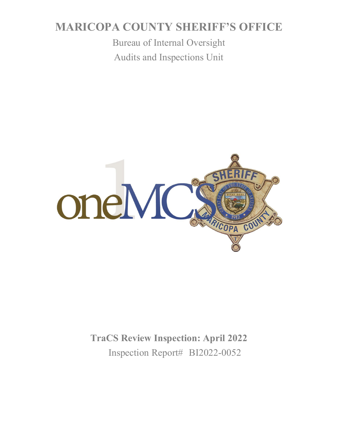# **MARICOPA COUNTY SHERIFF'S OFFICE**

Bureau of Internal Oversight Audits and Inspections Unit



**TraCS Review Inspection: April 2022** Inspection Report# BI2022-0052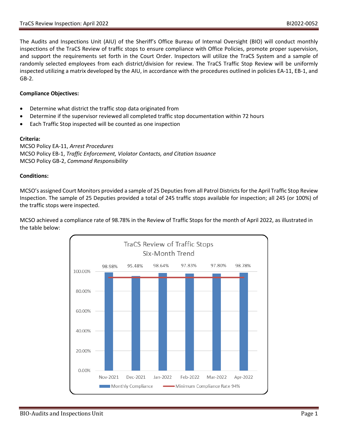The Audits and Inspections Unit (AIU) of the Sheriff's Office Bureau of Internal Oversight (BIO) will conduct monthly inspections of the TraCS Review of traffic stops to ensure compliance with Office Policies, promote proper supervision, and support the requirements set forth in the Court Order. Inspectors will utilize the TraCS System and a sample of randomly selected employees from each district/division for review. The TraCS Traffic Stop Review will be uniformly inspected utilizing a matrix developed by the AIU, in accordance with the procedures outlined in policies EA-11, EB-1, and GB-2.

## **Compliance Objectives:**

- Determine what district the traffic stop data originated from
- Determine if the supervisor reviewed all completed traffic stop documentation within 72 hours
- Each Traffic Stop inspected will be counted as one inspection

#### **Criteria:**

MCSO Policy EA-11, *Arrest Procedures* MCSO Policy EB-1, *Traffic Enforcement, Violator Contacts, and Citation Issuance* MCSO Policy GB-2, *Command Responsibility*

#### **Conditions:**

MCSO's assigned Court Monitors provided a sample of 25 Deputies from all Patrol Districts for the April Traffic Stop Review Inspection. The sample of 25 Deputies provided a total of 245 traffic stops available for inspection; all 245 (or 100%) of the traffic stops were inspected.

MCSO achieved a compliance rate of 98.78% in the Review of Traffic Stops for the month of April 2022, as illustrated in the table below:

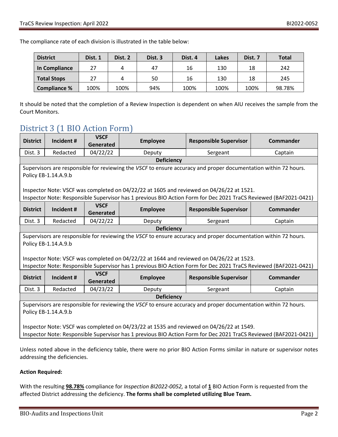The compliance rate of each division is illustrated in the table below:

| <b>District</b>     | Dist. 1 | Dist. 2 | Dist. 3 | Dist. 4 | Lakes | Dist. 7 | <b>Total</b> |
|---------------------|---------|---------|---------|---------|-------|---------|--------------|
| In Compliance       | 27      |         | 47      | 16      | 130   | 18      | 242          |
| <b>Total Stops</b>  | 27      | 4       | 50      | 16      | 130   | 18      | 245          |
| <b>Compliance %</b> | 100%    | 100%    | 94%     | 100%    | 100%  | 100%    | 98.78%       |

It should be noted that the completion of a Review Inspection is dependent on when AIU receives the sample from the Court Monitors.

# District 3 (1 BIO Action Form)

| <b>District</b>                                                                                                                                                                                              | Incident#  | <b>VSCF</b><br>Generated | <b>Employee</b> | <b>Responsible Supervisor</b> | Commander        |  |  |  |
|--------------------------------------------------------------------------------------------------------------------------------------------------------------------------------------------------------------|------------|--------------------------|-----------------|-------------------------------|------------------|--|--|--|
| Dist. 3                                                                                                                                                                                                      | Redacted   | 04/22/22                 | Deputy          | Sergeant                      | Captain          |  |  |  |
| <b>Deficiency</b>                                                                                                                                                                                            |            |                          |                 |                               |                  |  |  |  |
| Supervisors are responsible for reviewing the VSCF to ensure accuracy and proper documentation within 72 hours.                                                                                              |            |                          |                 |                               |                  |  |  |  |
| Policy EB-1.14.A.9.b                                                                                                                                                                                         |            |                          |                 |                               |                  |  |  |  |
| Inspector Note: VSCF was completed on 04/22/22 at 1605 and reviewed on 04/26/22 at 1521.<br>Inspector Note: Responsible Supervisor has 1 previous BIO Action Form for Dec 2021 TraCS Reviewed (BAF2021-0421) |            |                          |                 |                               |                  |  |  |  |
| <b>District</b>                                                                                                                                                                                              | Incident # | <b>VSCF</b><br>Generated | <b>Employee</b> | <b>Responsible Supervisor</b> | <b>Commander</b> |  |  |  |
| Dist. 3                                                                                                                                                                                                      | Redacted   | 04/22/22                 | Deputy          | Sergeant                      | Captain          |  |  |  |
| <b>Deficiency</b>                                                                                                                                                                                            |            |                          |                 |                               |                  |  |  |  |
| Supervisors are responsible for reviewing the VSCF to ensure accuracy and proper documentation within 72 hours.<br>Policy EB-1.14.A.9.b                                                                      |            |                          |                 |                               |                  |  |  |  |
| Inspector Note: VSCF was completed on 04/22/22 at 1644 and reviewed on 04/26/22 at 1523.                                                                                                                     |            |                          |                 |                               |                  |  |  |  |
| Inspector Note: Responsible Supervisor has 1 previous BIO Action Form for Dec 2021 TraCS Reviewed (BAF2021-0421)                                                                                             |            |                          |                 |                               |                  |  |  |  |
| <b>District</b>                                                                                                                                                                                              | Incident # | <b>VSCF</b><br>Generated | <b>Employee</b> | <b>Responsible Supervisor</b> | <b>Commander</b> |  |  |  |
| Dist. 3                                                                                                                                                                                                      | Redacted   | 04/23/22                 | Deputy          | Sergeant                      | Captain          |  |  |  |
| <b>Deficiency</b>                                                                                                                                                                                            |            |                          |                 |                               |                  |  |  |  |
| Supervisors are responsible for reviewing the VSCF to ensure accuracy and proper documentation within 72 hours.<br>Policy EB-1.14.A.9.b                                                                      |            |                          |                 |                               |                  |  |  |  |
| Inspector Note: VSCF was completed on 04/23/22 at 1535 and reviewed on 04/26/22 at 1549.<br>Inspector Note: Responsible Supervisor has 1 previous BIO Action Form for Dec 2021 TraCS Reviewed (BAF2021-0421) |            |                          |                 |                               |                  |  |  |  |

Unless noted above in the deficiency table, there were no prior BIO Action Forms similar in nature or supervisor notes addressing the deficiencies.

## **Action Required:**

With the resulting **98.78%** compliance for *Inspection BI2022-0052,* a total of **1** BIO Action Form is requested from the affected District addressing the deficiency. **The forms shall be completed utilizing Blue Team.**